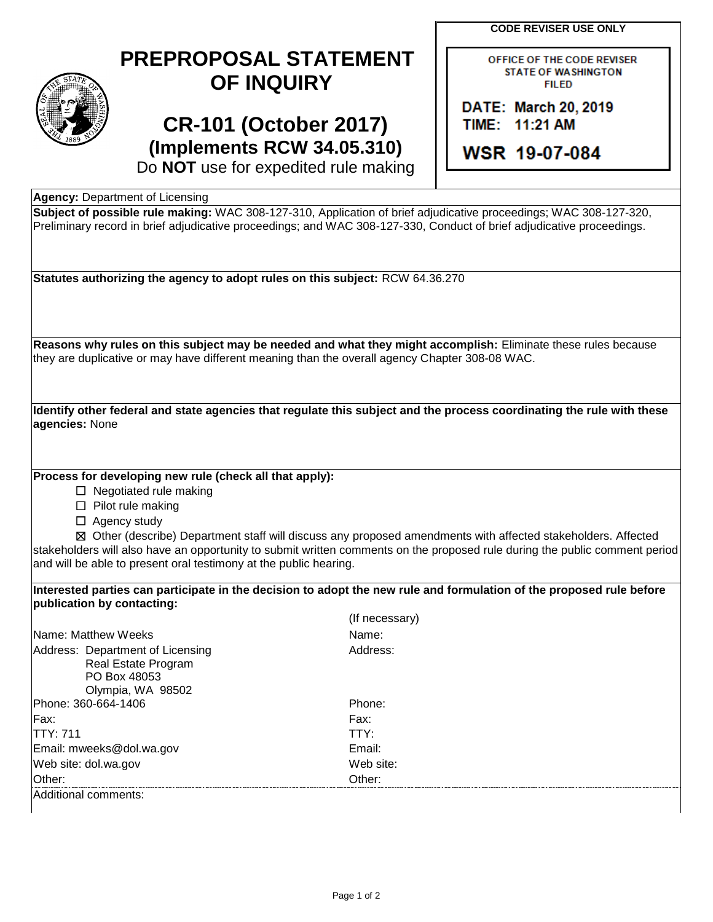**CODE REVISER USE ONLY**

## **PREPROPOSAL STATEMENT OF INQUIRY**

## **CR-101 (October 2017) (Implements RCW 34.05.310)**

OFFICE OF THE CODE REVISER **STATE OF WASHINGTON FILED** 

DATE: March 20, 2019 TIME: 11:21 AM

WSR 19-07-084

Do **NOT** use for expedited rule making

| <b>Agency: Department of Licensing</b>                                                                                                                                                                           |                                                                                                                                                                                                                                              |
|------------------------------------------------------------------------------------------------------------------------------------------------------------------------------------------------------------------|----------------------------------------------------------------------------------------------------------------------------------------------------------------------------------------------------------------------------------------------|
|                                                                                                                                                                                                                  | Subject of possible rule making: WAC 308-127-310, Application of brief adjudicative proceedings; WAC 308-127-320,<br>Preliminary record in brief adjudicative proceedings; and WAC 308-127-330, Conduct of brief adjudicative proceedings.   |
| Statutes authorizing the agency to adopt rules on this subject: RCW 64.36.270                                                                                                                                    |                                                                                                                                                                                                                                              |
|                                                                                                                                                                                                                  | Reasons why rules on this subject may be needed and what they might accomplish: Eliminate these rules because<br>they are duplicative or may have different meaning than the overall agency Chapter 308-08 WAC.                              |
|                                                                                                                                                                                                                  |                                                                                                                                                                                                                                              |
| agencies: None                                                                                                                                                                                                   | Identify other federal and state agencies that regulate this subject and the process coordinating the rule with these                                                                                                                        |
| Process for developing new rule (check all that apply):<br>$\Box$ Negotiated rule making<br>$\Box$ Pilot rule making<br>$\Box$ Agency study<br>and will be able to present oral testimony at the public hearing. | ⊠ Other (describe) Department staff will discuss any proposed amendments with affected stakeholders. Affected<br>stakeholders will also have an opportunity to submit written comments on the proposed rule during the public comment period |
|                                                                                                                                                                                                                  | Interested parties can participate in the decision to adopt the new rule and formulation of the proposed rule before                                                                                                                         |
| publication by contacting:                                                                                                                                                                                       | (If necessary)                                                                                                                                                                                                                               |
| Name: Matthew Weeks                                                                                                                                                                                              | Name:                                                                                                                                                                                                                                        |
| Address: Department of Licensing<br>Real Estate Program<br>PO Box 48053<br>Olympia, WA 98502                                                                                                                     | Address:                                                                                                                                                                                                                                     |
| Phone: 360-664-1406                                                                                                                                                                                              | Phone:                                                                                                                                                                                                                                       |
| Fax:                                                                                                                                                                                                             | Fax:                                                                                                                                                                                                                                         |
| <b>TTY: 711</b>                                                                                                                                                                                                  | TTY:                                                                                                                                                                                                                                         |
| Email: mweeks@dol.wa.gov                                                                                                                                                                                         | Email:                                                                                                                                                                                                                                       |
| Web site: dol.wa.gov                                                                                                                                                                                             | Web site:                                                                                                                                                                                                                                    |
| Other:                                                                                                                                                                                                           | Other:                                                                                                                                                                                                                                       |
| Additional comments:                                                                                                                                                                                             |                                                                                                                                                                                                                                              |